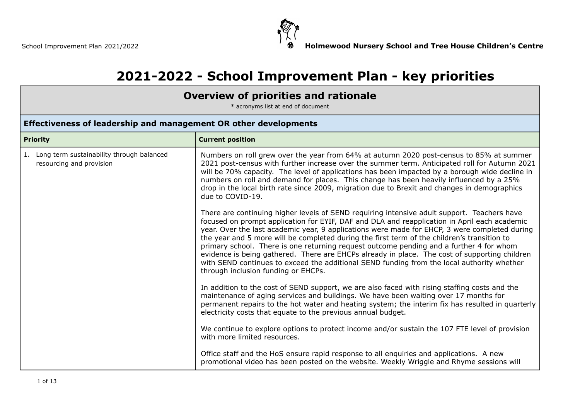

# **2021-2022 - School Improvement Plan - key priorities**

### **Overview of priorities and rationale**

\* acronyms list at end of document

#### **Effectiveness of leadership and management OR other developments Priority Current position** 1. Long term sustainability through balanced resourcing and provision Numbers on roll grew over the year from 64% at autumn 2020 post-census to 85% at summer 2021 post-census with further increase over the summer term. Anticipated roll for Autumn 2021 will be 70% capacity. The level of applications has been impacted by a borough wide decline in numbers on roll and demand for places. This change has been heavily influenced by a 25% drop in the local birth rate since 2009, migration due to Brexit and changes in demographics due to COVID-19. There are continuing higher levels of SEND requiring intensive adult support. Teachers have focused on prompt application for EYIF, DAF and DLA and reapplication in April each academic year. Over the last academic year, 9 applications were made for EHCP, 3 were completed during the year and 5 more will be completed during the first term of the children's transition to primary school. There is one returning request outcome pending and a further 4 for whom evidence is being gathered. There are EHCPs already in place. The cost of supporting children with SEND continues to exceed the additional SEND funding from the local authority whether through inclusion funding or EHCPs. In addition to the cost of SEND support, we are also faced with rising staffing costs and the maintenance of aging services and buildings. We have been waiting over 17 months for permanent repairs to the hot water and heating system; the interim fix has resulted in quarterly electricity costs that equate to the previous annual budget. We continue to explore options to protect income and/or sustain the 107 FTE level of provision with more limited resources. Office staff and the HoS ensure rapid response to all enquiries and applications. A new promotional video has been posted on the website. Weekly Wriggle and Rhyme sessions will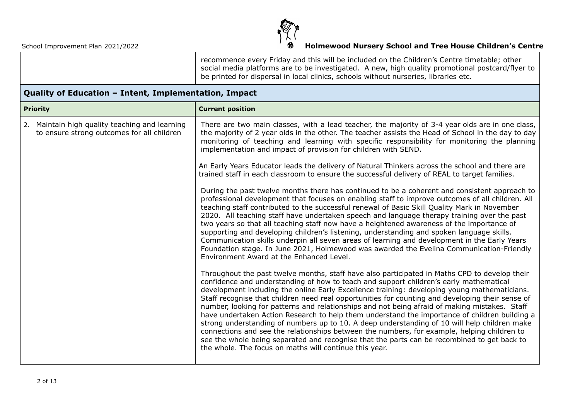

| recommence every Friday and this will be included on the Children's Centre timetable; other<br>social media platforms are to be investigated. A new, high quality promotional postcard/flyer to  <br>be printed for dispersal in local clinics, schools without nurseries, libraries etc. |
|-------------------------------------------------------------------------------------------------------------------------------------------------------------------------------------------------------------------------------------------------------------------------------------------|
|-------------------------------------------------------------------------------------------------------------------------------------------------------------------------------------------------------------------------------------------------------------------------------------------|

### **Quality of Education – Intent, Implementation, Impact**

| <b>Priority</b>                                                                              | <b>Current position</b>                                                                                                                                                                                                                                                                                                                                                                                                                                                                                                                                                                                                                                                                                                                                                                                                                                                                                                                               |  |  |
|----------------------------------------------------------------------------------------------|-------------------------------------------------------------------------------------------------------------------------------------------------------------------------------------------------------------------------------------------------------------------------------------------------------------------------------------------------------------------------------------------------------------------------------------------------------------------------------------------------------------------------------------------------------------------------------------------------------------------------------------------------------------------------------------------------------------------------------------------------------------------------------------------------------------------------------------------------------------------------------------------------------------------------------------------------------|--|--|
| 2. Maintain high quality teaching and learning<br>to ensure strong outcomes for all children | There are two main classes, with a lead teacher, the majority of 3-4 year olds are in one class,<br>the majority of 2 year olds in the other. The teacher assists the Head of School in the day to day<br>monitoring of teaching and learning with specific responsibility for monitoring the planning<br>implementation and impact of provision for children with SEND.                                                                                                                                                                                                                                                                                                                                                                                                                                                                                                                                                                              |  |  |
|                                                                                              | An Early Years Educator leads the delivery of Natural Thinkers across the school and there are<br>trained staff in each classroom to ensure the successful delivery of REAL to target families.                                                                                                                                                                                                                                                                                                                                                                                                                                                                                                                                                                                                                                                                                                                                                       |  |  |
|                                                                                              | During the past twelve months there has continued to be a coherent and consistent approach to<br>professional development that focuses on enabling staff to improve outcomes of all children. All<br>teaching staff contributed to the successful renewal of Basic Skill Quality Mark in November<br>2020. All teaching staff have undertaken speech and language therapy training over the past<br>two years so that all teaching staff now have a heightened awareness of the importance of<br>supporting and developing children's listening, understanding and spoken language skills.<br>Communication skills underpin all seven areas of learning and development in the Early Years<br>Foundation stage. In June 2021, Holmewood was awarded the Evelina Communication-Friendly<br>Environment Award at the Enhanced Level.                                                                                                                    |  |  |
|                                                                                              | Throughout the past twelve months, staff have also participated in Maths CPD to develop their<br>confidence and understanding of how to teach and support children's early mathematical<br>development including the online Early Excellence training: developing young mathematicians.<br>Staff recognise that children need real opportunities for counting and developing their sense of<br>number, looking for patterns and relationships and not being afraid of making mistakes. Staff<br>have undertaken Action Research to help them understand the importance of children building a<br>strong understanding of numbers up to 10. A deep understanding of 10 will help children make<br>connections and see the relationships between the numbers, for example, helping children to<br>see the whole being separated and recognise that the parts can be recombined to get back to<br>the whole. The focus on maths will continue this year. |  |  |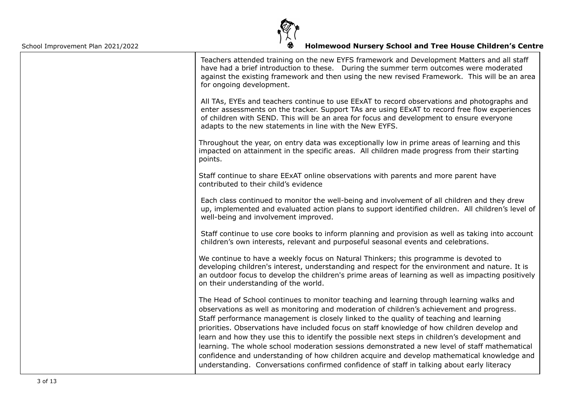

| Teachers attended training on the new EYFS framework and Development Matters and all staff<br>have had a brief introduction to these. During the summer term outcomes were moderated<br>against the existing framework and then using the new revised Framework. This will be an area<br>for ongoing development.                                                                                                                                                                                                                                                                                                                                                                                                                                                             |
|-------------------------------------------------------------------------------------------------------------------------------------------------------------------------------------------------------------------------------------------------------------------------------------------------------------------------------------------------------------------------------------------------------------------------------------------------------------------------------------------------------------------------------------------------------------------------------------------------------------------------------------------------------------------------------------------------------------------------------------------------------------------------------|
| All TAs, EYEs and teachers continue to use EExAT to record observations and photographs and<br>enter assessments on the tracker. Support TAs are using EExAT to record free flow experiences<br>of children with SEND. This will be an area for focus and development to ensure everyone<br>adapts to the new statements in line with the New EYFS.                                                                                                                                                                                                                                                                                                                                                                                                                           |
| Throughout the year, on entry data was exceptionally low in prime areas of learning and this<br>impacted on attainment in the specific areas. All children made progress from their starting<br>points.                                                                                                                                                                                                                                                                                                                                                                                                                                                                                                                                                                       |
| Staff continue to share EExAT online observations with parents and more parent have<br>contributed to their child's evidence                                                                                                                                                                                                                                                                                                                                                                                                                                                                                                                                                                                                                                                  |
| Each class continued to monitor the well-being and involvement of all children and they drew<br>up, implemented and evaluated action plans to support identified children. All children's level of<br>well-being and involvement improved.                                                                                                                                                                                                                                                                                                                                                                                                                                                                                                                                    |
| Staff continue to use core books to inform planning and provision as well as taking into account<br>children's own interests, relevant and purposeful seasonal events and celebrations.                                                                                                                                                                                                                                                                                                                                                                                                                                                                                                                                                                                       |
| We continue to have a weekly focus on Natural Thinkers; this programme is devoted to<br>developing children's interest, understanding and respect for the environment and nature. It is<br>an outdoor focus to develop the children's prime areas of learning as well as impacting positively<br>on their understanding of the world.                                                                                                                                                                                                                                                                                                                                                                                                                                         |
| The Head of School continues to monitor teaching and learning through learning walks and<br>observations as well as monitoring and moderation of children's achievement and progress.<br>Staff performance management is closely linked to the quality of teaching and learning<br>priorities. Observations have included focus on staff knowledge of how children develop and<br>learn and how they use this to identify the possible next steps in children's development and<br>learning. The whole school moderation sessions demonstrated a new level of staff mathematical<br>confidence and understanding of how children acquire and develop mathematical knowledge and<br>understanding. Conversations confirmed confidence of staff in talking about early literacy |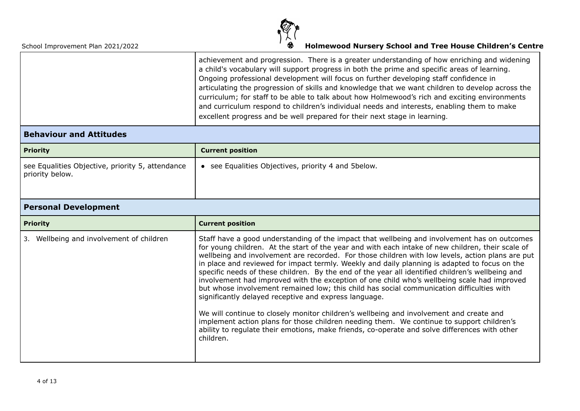

| achievement and progression. There is a greater understanding of how enriching and widening      |
|--------------------------------------------------------------------------------------------------|
| a child's vocabulary will support progress in both the prime and specific areas of learning.     |
| Ongoing professional development will focus on further developing staff confidence in            |
| articulating the progression of skills and knowledge that we want children to develop across the |
| curriculum; for staff to be able to talk about how Holmewood's rich and exciting environments    |
| and curriculum respond to children's individual needs and interests, enabling them to make       |
| excellent progress and be well prepared for their next stage in learning.                        |
|                                                                                                  |

#### **Behaviour and Attitudes**

| <b>Priority</b>                                                     | <b>Current position</b>                           |  |
|---------------------------------------------------------------------|---------------------------------------------------|--|
| see Equalities Objective, priority 5, attendance<br>priority below. | see Equalities Objectives, priority 4 and 5below. |  |

### **Personal Development**

| <b>Priority</b>                          | <b>Current position</b>                                                                                                                                                                                                                                                                                                                                                                                                                                                                                                                                                                                                                                                                                                                                                                                                                                                                                                                                                                                                                                               |  |  |
|------------------------------------------|-----------------------------------------------------------------------------------------------------------------------------------------------------------------------------------------------------------------------------------------------------------------------------------------------------------------------------------------------------------------------------------------------------------------------------------------------------------------------------------------------------------------------------------------------------------------------------------------------------------------------------------------------------------------------------------------------------------------------------------------------------------------------------------------------------------------------------------------------------------------------------------------------------------------------------------------------------------------------------------------------------------------------------------------------------------------------|--|--|
| 3. Wellbeing and involvement of children | Staff have a good understanding of the impact that wellbeing and involvement has on outcomes<br>for young children. At the start of the year and with each intake of new children, their scale of<br>wellbeing and involvement are recorded. For those children with low levels, action plans are put<br>in place and reviewed for impact termly. Weekly and daily planning is adapted to focus on the<br>specific needs of these children. By the end of the year all identified children's wellbeing and<br>involvement had improved with the exception of one child who's wellbeing scale had improved<br>but whose involvement remained low; this child has social communication difficulties with<br>significantly delayed receptive and express language.<br>We will continue to closely monitor children's wellbeing and involvement and create and<br>implement action plans for those children needing them. We continue to support children's<br>ability to regulate their emotions, make friends, co-operate and solve differences with other<br>children. |  |  |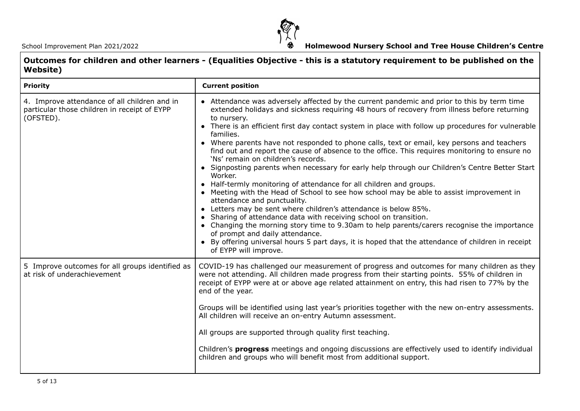

| Outcomes for children and other learners - (Equalities Objective - this is a statutory requirement to be published on the<br>Website) |                         |  |  |
|---------------------------------------------------------------------------------------------------------------------------------------|-------------------------|--|--|
| <b>Priority</b>                                                                                                                       | <b>Current position</b> |  |  |

| 4. Improve attendance of all children and in<br>particular those children in receipt of EYPP<br>(OFSTED). | • Attendance was adversely affected by the current pandemic and prior to this by term time<br>extended holidays and sickness requiring 48 hours of recovery from illness before returning<br>to nursery.<br>• There is an efficient first day contact system in place with follow up procedures for vulnerable<br>families.<br>• Where parents have not responded to phone calls, text or email, key persons and teachers<br>find out and report the cause of absence to the office. This requires monitoring to ensure no<br>'Ns' remain on children's records.<br>• Signposting parents when necessary for early help through our Children's Centre Better Start<br>Worker.<br>• Half-termly monitoring of attendance for all children and groups.<br>• Meeting with the Head of School to see how school may be able to assist improvement in<br>attendance and punctuality.<br>• Letters may be sent where children's attendance is below 85%.<br>• Sharing of attendance data with receiving school on transition.<br>• Changing the morning story time to 9.30am to help parents/carers recognise the importance<br>of prompt and daily attendance.<br>• By offering universal hours 5 part days, it is hoped that the attendance of children in receipt<br>of EYPP will improve. |
|-----------------------------------------------------------------------------------------------------------|-----------------------------------------------------------------------------------------------------------------------------------------------------------------------------------------------------------------------------------------------------------------------------------------------------------------------------------------------------------------------------------------------------------------------------------------------------------------------------------------------------------------------------------------------------------------------------------------------------------------------------------------------------------------------------------------------------------------------------------------------------------------------------------------------------------------------------------------------------------------------------------------------------------------------------------------------------------------------------------------------------------------------------------------------------------------------------------------------------------------------------------------------------------------------------------------------------------------------------------------------------------------------------------------|
| 5 Improve outcomes for all groups identified as<br>at risk of underachievement                            | COVID-19 has challenged our measurement of progress and outcomes for many children as they<br>were not attending. All children made progress from their starting points. 55% of children in<br>receipt of EYPP were at or above age related attainment on entry, this had risen to 77% by the<br>end of the year.<br>Groups will be identified using last year's priorities together with the new on-entry assessments.<br>All children will receive an on-entry Autumn assessment.<br>All groups are supported through quality first teaching.<br>Children's <b>progress</b> meetings and ongoing discussions are effectively used to identify individual<br>children and groups who will benefit most from additional support.                                                                                                                                                                                                                                                                                                                                                                                                                                                                                                                                                        |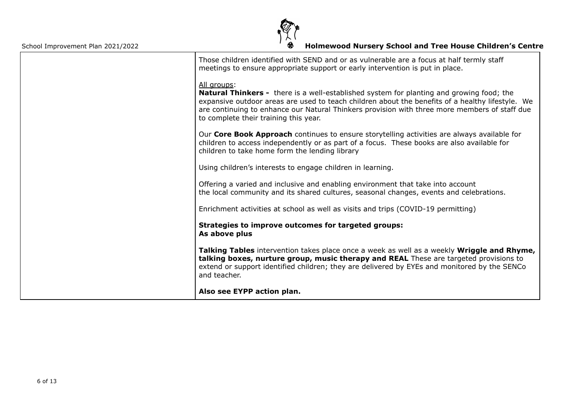

| Those children identified with SEND and or as vulnerable are a focus at half termly staff<br>meetings to ensure appropriate support or early intervention is put in place.                                                                                                                                                                                   |
|--------------------------------------------------------------------------------------------------------------------------------------------------------------------------------------------------------------------------------------------------------------------------------------------------------------------------------------------------------------|
| All groups:<br><b>Natural Thinkers -</b> there is a well-established system for planting and growing food; the<br>expansive outdoor areas are used to teach children about the benefits of a healthy lifestyle. We<br>are continuing to enhance our Natural Thinkers provision with three more members of staff due<br>to complete their training this year. |
| Our Core Book Approach continues to ensure storytelling activities are always available for<br>children to access independently or as part of a focus. These books are also available for<br>children to take home form the lending library                                                                                                                  |
| Using children's interests to engage children in learning.                                                                                                                                                                                                                                                                                                   |
| Offering a varied and inclusive and enabling environment that take into account<br>the local community and its shared cultures, seasonal changes, events and celebrations.                                                                                                                                                                                   |
| Enrichment activities at school as well as visits and trips (COVID-19 permitting)                                                                                                                                                                                                                                                                            |
| Strategies to improve outcomes for targeted groups:<br>As above plus                                                                                                                                                                                                                                                                                         |
| Talking Tables intervention takes place once a week as well as a weekly Wriggle and Rhyme,<br>talking boxes, nurture group, music therapy and REAL These are targeted provisions to<br>extend or support identified children; they are delivered by EYEs and monitored by the SENCo<br>and teacher.                                                          |
| Also see EYPP action plan.                                                                                                                                                                                                                                                                                                                                   |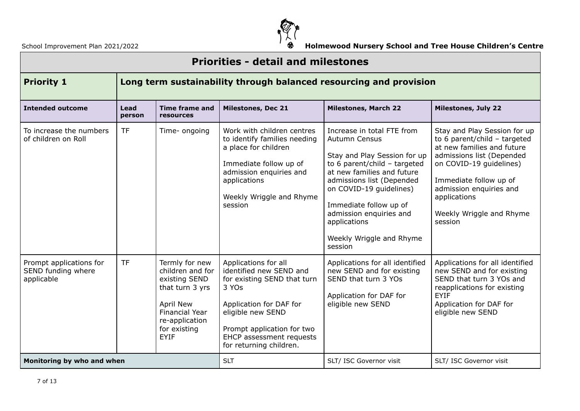

| <b>Priorities - detail and milestones</b>                   |                                                                    |                                                                                                                                                               |                                                                                                                                                                                                                              |                                                                                                                                                                                                                                                                                                                        |                                                                                                                                                                                                                                                                  |
|-------------------------------------------------------------|--------------------------------------------------------------------|---------------------------------------------------------------------------------------------------------------------------------------------------------------|------------------------------------------------------------------------------------------------------------------------------------------------------------------------------------------------------------------------------|------------------------------------------------------------------------------------------------------------------------------------------------------------------------------------------------------------------------------------------------------------------------------------------------------------------------|------------------------------------------------------------------------------------------------------------------------------------------------------------------------------------------------------------------------------------------------------------------|
| <b>Priority 1</b>                                           | Long term sustainability through balanced resourcing and provision |                                                                                                                                                               |                                                                                                                                                                                                                              |                                                                                                                                                                                                                                                                                                                        |                                                                                                                                                                                                                                                                  |
| <b>Intended outcome</b>                                     | Lead<br>person                                                     | <b>Time frame and</b><br>resources                                                                                                                            | <b>Milestones, Dec 21</b>                                                                                                                                                                                                    | <b>Milestones, March 22</b>                                                                                                                                                                                                                                                                                            | <b>Milestones, July 22</b>                                                                                                                                                                                                                                       |
| To increase the numbers<br>of children on Roll              | <b>TF</b>                                                          | Time- ongoing                                                                                                                                                 | Work with children centres<br>to identify families needing<br>a place for children<br>Immediate follow up of<br>admission enquiries and<br>applications<br>Weekly Wriggle and Rhyme<br>session                               | Increase in total FTE from<br><b>Autumn Census</b><br>Stay and Play Session for up<br>to 6 parent/child $-$ targeted<br>at new families and future<br>admissions list (Depended<br>on COVID-19 guidelines)<br>Immediate follow up of<br>admission enquiries and<br>applications<br>Weekly Wriggle and Rhyme<br>session | Stay and Play Session for up<br>to 6 parent/child $-$ targeted<br>at new families and future<br>admissions list (Depended<br>on COVID-19 quidelines)<br>Immediate follow up of<br>admission enquiries and<br>applications<br>Weekly Wriggle and Rhyme<br>session |
| Prompt applications for<br>SEND funding where<br>applicable | <b>TF</b>                                                          | Termly for new<br>children and for<br>existing SEND<br>that turn 3 yrs<br>April New<br><b>Financial Year</b><br>re-application<br>for existing<br><b>EYIF</b> | Applications for all<br>identified new SEND and<br>for existing SEND that turn<br>3 YOs<br>Application for DAF for<br>eligible new SEND<br>Prompt application for two<br>EHCP assessment requests<br>for returning children. | Applications for all identified<br>new SEND and for existing<br>SEND that turn 3 YOs<br>Application for DAF for<br>eligible new SEND                                                                                                                                                                                   | Applications for all identified<br>new SEND and for existing<br>SEND that turn 3 YOs and<br>reapplications for existing<br><b>EYIF</b><br>Application for DAF for<br>eligible new SEND                                                                           |
| Monitoring by who and when                                  |                                                                    | <b>SLT</b>                                                                                                                                                    | SLT/ ISC Governor visit                                                                                                                                                                                                      | SLT/ ISC Governor visit                                                                                                                                                                                                                                                                                                |                                                                                                                                                                                                                                                                  |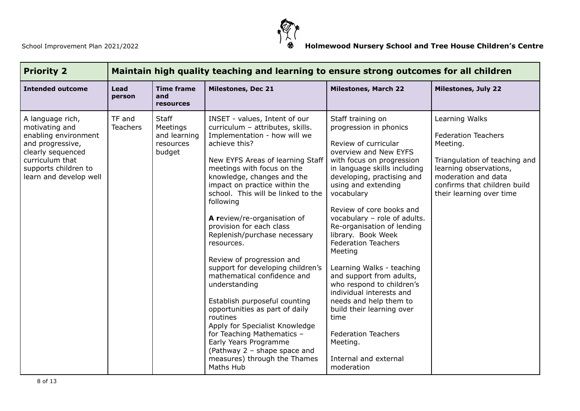

| <b>Priority 2</b>                                                                                                                                                        | Maintain high quality teaching and learning to ensure strong outcomes for all children |                                                                 |                                                                                                                                                                                                                                                                                                                                                                                                                                                                                                                                                                                                                                                                                                                                                                                        |                                                                                                                                                                                                                                                                                                                                                                                                                                                                                                                                                                                                                                                         |                                                                                                                                                                                                        |
|--------------------------------------------------------------------------------------------------------------------------------------------------------------------------|----------------------------------------------------------------------------------------|-----------------------------------------------------------------|----------------------------------------------------------------------------------------------------------------------------------------------------------------------------------------------------------------------------------------------------------------------------------------------------------------------------------------------------------------------------------------------------------------------------------------------------------------------------------------------------------------------------------------------------------------------------------------------------------------------------------------------------------------------------------------------------------------------------------------------------------------------------------------|---------------------------------------------------------------------------------------------------------------------------------------------------------------------------------------------------------------------------------------------------------------------------------------------------------------------------------------------------------------------------------------------------------------------------------------------------------------------------------------------------------------------------------------------------------------------------------------------------------------------------------------------------------|--------------------------------------------------------------------------------------------------------------------------------------------------------------------------------------------------------|
| <b>Intended outcome</b>                                                                                                                                                  | Lead<br>person                                                                         | <b>Time frame</b><br>and<br><b>resources</b>                    | <b>Milestones, Dec 21</b>                                                                                                                                                                                                                                                                                                                                                                                                                                                                                                                                                                                                                                                                                                                                                              | <b>Milestones, March 22</b>                                                                                                                                                                                                                                                                                                                                                                                                                                                                                                                                                                                                                             | <b>Milestones, July 22</b>                                                                                                                                                                             |
| A language rich,<br>motivating and<br>enabling environment<br>and progressive,<br>clearly sequenced<br>curriculum that<br>supports children to<br>learn and develop well | TF and<br>Teachers                                                                     | <b>Staff</b><br>Meetings<br>and learning<br>resources<br>budget | INSET - values, Intent of our<br>curriculum - attributes, skills.<br>Implementation - how will we<br>achieve this?<br>New EYFS Areas of learning Staff<br>meetings with focus on the<br>knowledge, changes and the<br>impact on practice within the<br>school. This will be linked to the<br>following<br>A review/re-organisation of<br>provision for each class<br>Replenish/purchase necessary<br>resources.<br>Review of progression and<br>support for developing children's<br>mathematical confidence and<br>understanding<br>Establish purposeful counting<br>opportunities as part of daily<br>routines<br>Apply for Specialist Knowledge<br>for Teaching Mathematics -<br>Early Years Programme<br>(Pathway 2 - shape space and<br>measures) through the Thames<br>Maths Hub | Staff training on<br>progression in phonics<br>Review of curricular<br>overview and New EYFS<br>with focus on progression<br>in language skills including<br>developing, practising and<br>using and extending<br>vocabulary<br>Review of core books and<br>vocabulary - role of adults.<br>Re-organisation of lending<br>library. Book Week<br><b>Federation Teachers</b><br>Meeting<br>Learning Walks - teaching<br>and support from adults,<br>who respond to children's<br>individual interests and<br>needs and help them to<br>build their learning over<br>time<br><b>Federation Teachers</b><br>Meeting.<br>Internal and external<br>moderation | Learning Walks<br><b>Federation Teachers</b><br>Meeting.<br>Triangulation of teaching and<br>learning observations,<br>moderation and data<br>confirms that children build<br>their learning over time |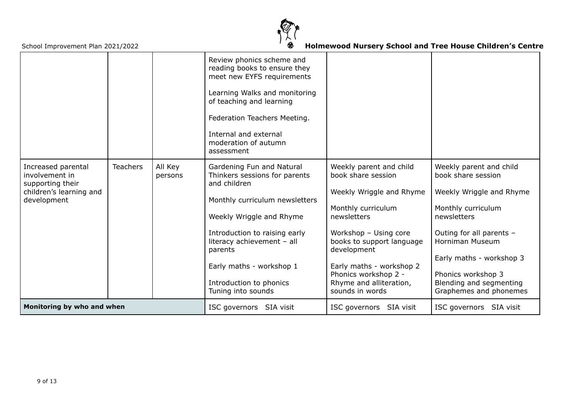

|                                                                                                    |                 |                         | Review phonics scheme and<br>reading books to ensure they<br>meet new EYFS requirements<br>Learning Walks and monitoring<br>of teaching and learning<br>Federation Teachers Meeting.<br>Internal and external<br>moderation of autumn<br>assessment                                             |                                                                                                                                                                                                                                                                                       |                                                                                                                                                                                                                                                                      |
|----------------------------------------------------------------------------------------------------|-----------------|-------------------------|-------------------------------------------------------------------------------------------------------------------------------------------------------------------------------------------------------------------------------------------------------------------------------------------------|---------------------------------------------------------------------------------------------------------------------------------------------------------------------------------------------------------------------------------------------------------------------------------------|----------------------------------------------------------------------------------------------------------------------------------------------------------------------------------------------------------------------------------------------------------------------|
| Increased parental<br>involvement in<br>supporting their<br>children's learning and<br>development | <b>Teachers</b> | All Key<br>persons      | Gardening Fun and Natural<br>Thinkers sessions for parents<br>and children<br>Monthly curriculum newsletters<br>Weekly Wriggle and Rhyme<br>Introduction to raising early<br>literacy achievement - all<br>parents<br>Early maths - workshop 1<br>Introduction to phonics<br>Tuning into sounds | Weekly parent and child<br>book share session<br>Weekly Wriggle and Rhyme<br>Monthly curriculum<br>newsletters<br>Workshop - Using core<br>books to support language<br>development<br>Early maths - workshop 2<br>Phonics workshop 2 -<br>Rhyme and alliteration,<br>sounds in words | Weekly parent and child<br>book share session<br>Weekly Wriggle and Rhyme<br>Monthly curriculum<br>newsletters<br>Outing for all parents -<br>Horniman Museum<br>Early maths - workshop 3<br>Phonics workshop 3<br>Blending and segmenting<br>Graphemes and phonemes |
| Monitoring by who and when                                                                         |                 | ISC governors SIA visit | ISC governors SIA visit                                                                                                                                                                                                                                                                         | ISC governors SIA visit                                                                                                                                                                                                                                                               |                                                                                                                                                                                                                                                                      |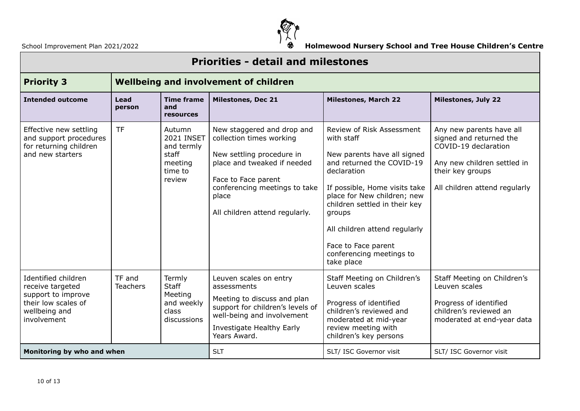

| <b>Priorities - detail and milestones</b>                                                                            |                           |                                                                                    |                                                                                                                                                                                                                       |                                                                                                                                                                                                                                                                                                                                 |                                                                                                                                                                 |  |  |  |
|----------------------------------------------------------------------------------------------------------------------|---------------------------|------------------------------------------------------------------------------------|-----------------------------------------------------------------------------------------------------------------------------------------------------------------------------------------------------------------------|---------------------------------------------------------------------------------------------------------------------------------------------------------------------------------------------------------------------------------------------------------------------------------------------------------------------------------|-----------------------------------------------------------------------------------------------------------------------------------------------------------------|--|--|--|
| <b>Priority 3</b>                                                                                                    |                           |                                                                                    | <b>Wellbeing and involvement of children</b>                                                                                                                                                                          |                                                                                                                                                                                                                                                                                                                                 |                                                                                                                                                                 |  |  |  |
| <b>Intended outcome</b><br>Lead<br>person                                                                            |                           | <b>Time frame</b><br>and<br>resources                                              | <b>Milestones, Dec 21</b>                                                                                                                                                                                             | <b>Milestones, March 22</b>                                                                                                                                                                                                                                                                                                     | <b>Milestones, July 22</b>                                                                                                                                      |  |  |  |
| Effective new settling<br>and support procedures<br>for returning children<br>and new starters                       | <b>TF</b>                 | Autumn<br><b>2021 INSET</b><br>and termly<br>staff<br>meeting<br>time to<br>review | New staggered and drop and<br>collection times working<br>New settling procedure in<br>place and tweaked if needed<br>Face to Face parent<br>conferencing meetings to take<br>place<br>All children attend regularly. | Review of Risk Assessment<br>with staff<br>New parents have all signed<br>and returned the COVID-19<br>declaration<br>If possible, Home visits take<br>place for New children; new<br>children settled in their key<br>groups<br>All children attend regularly<br>Face to Face parent<br>conferencing meetings to<br>take place | Any new parents have all<br>signed and returned the<br>COVID-19 declaration<br>Any new children settled in<br>their key groups<br>All children attend regularly |  |  |  |
| Identified children<br>receive targeted<br>support to improve<br>their low scales of<br>wellbeing and<br>involvement | TF and<br><b>Teachers</b> | Termly<br><b>Staff</b><br>Meeting<br>and weekly<br>class<br>discussions            | Leuven scales on entry<br>assessments<br>Meeting to discuss and plan<br>support for children's levels of<br>well-being and involvement<br>Investigate Healthy Early<br>Years Award.                                   | Staff Meeting on Children's<br>Leuven scales<br>Progress of identified<br>children's reviewed and<br>moderated at mid-year<br>review meeting with<br>children's key persons                                                                                                                                                     | Staff Meeting on Children's<br>Leuven scales<br>Progress of identified<br>children's reviewed an<br>moderated at end-year data                                  |  |  |  |
| Monitoring by who and when                                                                                           |                           |                                                                                    | <b>SLT</b>                                                                                                                                                                                                            | SLT/ ISC Governor visit                                                                                                                                                                                                                                                                                                         | SLT/ ISC Governor visit                                                                                                                                         |  |  |  |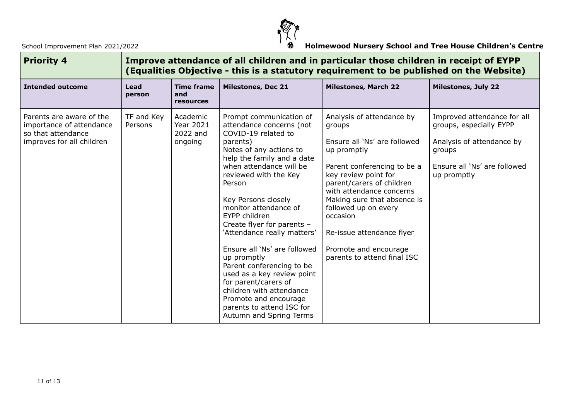

| <b>Priority 4</b>                                                                                       | Improve attendance of all children and in particular those children in receipt of EYPP<br>(Equalities Objective - this is a statutory requirement to be published on the Website) |                                                     |                                                                                                                                                                                                                                                                                                                                                                                                                                                                                                                                                                                            |                                                                                                                                                                                                                                                                                                                                                            |                                                                                                                                              |  |  |
|---------------------------------------------------------------------------------------------------------|-----------------------------------------------------------------------------------------------------------------------------------------------------------------------------------|-----------------------------------------------------|--------------------------------------------------------------------------------------------------------------------------------------------------------------------------------------------------------------------------------------------------------------------------------------------------------------------------------------------------------------------------------------------------------------------------------------------------------------------------------------------------------------------------------------------------------------------------------------------|------------------------------------------------------------------------------------------------------------------------------------------------------------------------------------------------------------------------------------------------------------------------------------------------------------------------------------------------------------|----------------------------------------------------------------------------------------------------------------------------------------------|--|--|
| <b>Intended outcome</b>                                                                                 | Lead<br>person                                                                                                                                                                    | <b>Time frame</b><br>and<br>resources               | <b>Milestones, Dec 21</b>                                                                                                                                                                                                                                                                                                                                                                                                                                                                                                                                                                  | <b>Milestones, March 22</b>                                                                                                                                                                                                                                                                                                                                | <b>Milestones, July 22</b>                                                                                                                   |  |  |
| Parents are aware of the<br>importance of attendance<br>so that attendance<br>improves for all children | TF and Key<br>Persons                                                                                                                                                             | Academic<br><b>Year 2021</b><br>2022 and<br>ongoing | Prompt communication of<br>attendance concerns (not<br>COVID-19 related to<br>parents)<br>Notes of any actions to<br>help the family and a date<br>when attendance will be<br>reviewed with the Key<br>Person<br>Key Persons closely<br>monitor attendance of<br>EYPP children<br>Create flyer for parents -<br>'Attendance really matters'<br>Ensure all 'Ns' are followed<br>up promptly<br>Parent conferencing to be<br>used as a key review point<br>for parent/carers of<br>children with attendance<br>Promote and encourage<br>parents to attend ISC for<br>Autumn and Spring Terms | Analysis of attendance by<br>groups<br>Ensure all 'Ns' are followed<br>up promptly<br>Parent conferencing to be a<br>key review point for<br>parent/carers of children<br>with attendance concerns<br>Making sure that absence is<br>followed up on every<br>occasion<br>Re-issue attendance flyer<br>Promote and encourage<br>parents to attend final ISC | Improved attendance for all<br>groups, especially EYPP<br>Analysis of attendance by<br>groups<br>Ensure all 'Ns' are followed<br>up promptly |  |  |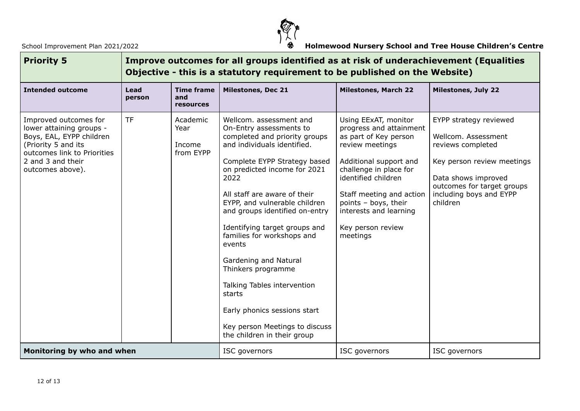

| <b>Priority 5</b>                                                                                                                                                            | Improve outcomes for all groups identified as at risk of underachievement (Equalities<br>Objective - this is a statutory requirement to be published on the Website) |                                              |                                                                                                                                                                                                                                                                                                                                                                                                                                                                                                                                                                 |                                                                                                                                                                                                                                                                                       |                                                                                                                                                                                              |  |  |
|------------------------------------------------------------------------------------------------------------------------------------------------------------------------------|----------------------------------------------------------------------------------------------------------------------------------------------------------------------|----------------------------------------------|-----------------------------------------------------------------------------------------------------------------------------------------------------------------------------------------------------------------------------------------------------------------------------------------------------------------------------------------------------------------------------------------------------------------------------------------------------------------------------------------------------------------------------------------------------------------|---------------------------------------------------------------------------------------------------------------------------------------------------------------------------------------------------------------------------------------------------------------------------------------|----------------------------------------------------------------------------------------------------------------------------------------------------------------------------------------------|--|--|
| <b>Intended outcome</b>                                                                                                                                                      | Lead<br>person                                                                                                                                                       | <b>Time frame</b><br>and<br><b>resources</b> | <b>Milestones, Dec 21</b>                                                                                                                                                                                                                                                                                                                                                                                                                                                                                                                                       | <b>Milestones, March 22</b>                                                                                                                                                                                                                                                           | <b>Milestones, July 22</b>                                                                                                                                                                   |  |  |
| Improved outcomes for<br>lower attaining groups -<br>Boys, EAL, EYPP children<br>(Priority 5 and its<br>outcomes link to Priorities<br>2 and 3 and their<br>outcomes above). | <b>TF</b>                                                                                                                                                            | Academic<br>Year<br>Income<br>from EYPP      | Wellcom. assessment and<br>On-Entry assessments to<br>completed and priority groups<br>and individuals identified.<br>Complete EYPP Strategy based<br>on predicted income for 2021<br>2022<br>All staff are aware of their<br>EYPP, and vulnerable children<br>and groups identified on-entry<br>Identifying target groups and<br>families for workshops and<br>events<br>Gardening and Natural<br>Thinkers programme<br>Talking Tables intervention<br>starts<br>Early phonics sessions start<br>Key person Meetings to discuss<br>the children in their group | Using EExAT, monitor<br>progress and attainment<br>as part of Key person<br>review meetings<br>Additional support and<br>challenge in place for<br>identified children<br>Staff meeting and action<br>points - boys, their<br>interests and learning<br>Key person review<br>meetings | EYPP strategy reviewed<br>Wellcom, Assessment<br>reviews completed<br>Key person review meetings<br>Data shows improved<br>outcomes for target groups<br>including boys and EYPP<br>children |  |  |
| Monitoring by who and when                                                                                                                                                   |                                                                                                                                                                      |                                              | ISC governors                                                                                                                                                                                                                                                                                                                                                                                                                                                                                                                                                   | ISC governors                                                                                                                                                                                                                                                                         | ISC governors                                                                                                                                                                                |  |  |